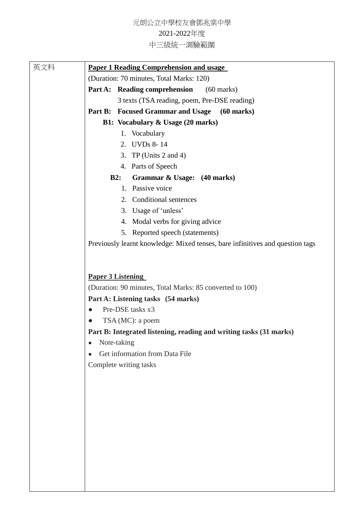元朗公立中學校友會鄧兆棠中學

## 2021-2022年度

中三級統一測驗範圍

| 英文科 | <b>Paper 1 Reading Comprehension and usage</b>                                |
|-----|-------------------------------------------------------------------------------|
|     | (Duration: 70 minutes, Total Marks: 120)                                      |
|     | Part A: Reading comprehension<br>$(60$ marks)                                 |
|     | 3 texts (TSA reading, poem, Pre-DSE reading)                                  |
|     | Part B: Focused Grammar and Usage<br>$(60 \text{ marks})$                     |
|     | <b>B1: Vocabulary &amp; Usage (20 marks)</b>                                  |
|     | 1. Vocabulary                                                                 |
|     | 2. UVDs 8-14                                                                  |
|     | 3. TP (Units $2$ and $4$ )                                                    |
|     | 4. Parts of Speech                                                            |
|     | B2:<br>Grammar & Usage: (40 marks)                                            |
|     | 1. Passive voice                                                              |
|     | 2. Conditional sentences                                                      |
|     | 3. Usage of 'unless'                                                          |
|     | 4. Modal verbs for giving advice                                              |
|     | 5. Reported speech (statements)                                               |
|     | Previously learnt knowledge: Mixed tenses, bare infinitives and question tags |
|     |                                                                               |
|     |                                                                               |
|     | <b>Paper 3 Listening</b>                                                      |
|     | (Duration: 90 minutes, Total Marks: 85 converted to 100)                      |
|     | Part A: Listening tasks (54 marks)                                            |
|     | Pre-DSE tasks x3<br>0                                                         |
|     | TSA (MC): a poem                                                              |
|     | Part B: Integrated listening, reading and writing tasks (31 marks)            |
|     | Note-taking                                                                   |
|     | Get information from Data File<br>$\bullet$                                   |
|     | Complete writing tasks                                                        |
|     |                                                                               |
|     |                                                                               |
|     |                                                                               |
|     |                                                                               |
|     |                                                                               |
|     |                                                                               |
|     |                                                                               |
|     |                                                                               |
|     |                                                                               |
|     |                                                                               |